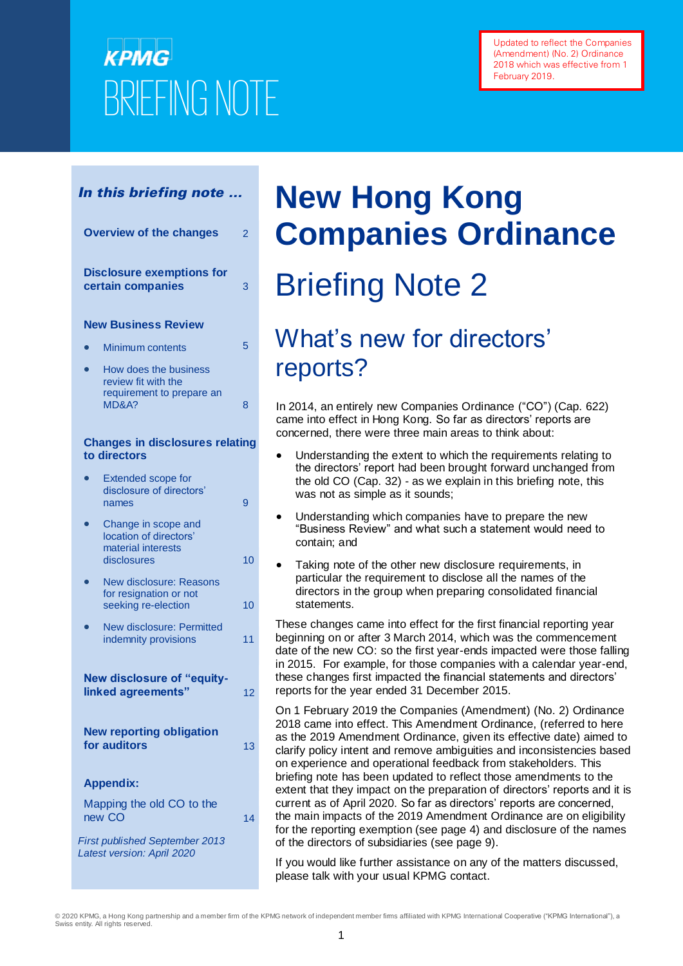# **KPMG BRIEFING NOTE**

#### In this briefing note …

| <b>Overview of the changes</b><br>2                                 |                                                                                               |    |  |  |
|---------------------------------------------------------------------|-----------------------------------------------------------------------------------------------|----|--|--|
|                                                                     | <b>Disclosure exemptions for</b><br>certain companies                                         | 3  |  |  |
|                                                                     | <b>New Business Review</b>                                                                    |    |  |  |
|                                                                     | Minimum contents                                                                              | 5  |  |  |
|                                                                     | How does the business<br>review fit with the<br>requirement to prepare an<br><b>MD&amp;A?</b> | 8  |  |  |
|                                                                     | <b>Changes in disclosures relating</b><br>to directors                                        |    |  |  |
|                                                                     | <b>Extended scope for</b><br>disclosure of directors'<br>names                                | 9  |  |  |
|                                                                     | Change in scope and<br>location of directors'<br>material interests<br>disclosures            | 10 |  |  |
|                                                                     | New disclosure: Reasons<br>for resignation or not<br>seeking re-election                      | 10 |  |  |
|                                                                     | <b>New disclosure: Permitted</b><br>indemnity provisions                                      | 11 |  |  |
| <b>New disclosure of "equity-</b><br>linked agreements"<br>12       |                                                                                               |    |  |  |
|                                                                     | <b>New reporting obligation</b><br>for auditors                                               | 13 |  |  |
|                                                                     | <b>Appendix:</b>                                                                              |    |  |  |
|                                                                     | Mapping the old CO to the<br>new CO                                                           | 14 |  |  |
| <b>First published September 2013</b><br>Latest version: April 2020 |                                                                                               |    |  |  |

# **New Hong Kong Companies Ordinance**

## Briefing Note 2

## What's new for directors' reports?

In 2014, an entirely new Companies Ordinance ("CO") (Cap. 622) came into effect in Hong Kong. So far as directors' reports are concerned, there were three main areas to think about:

- Understanding the extent to which the requirements relating to the directors' report had been brought forward unchanged from the old CO (Cap. 32) - as we explain in this briefing note, this was not as simple as it sounds;
- Understanding which companies have to prepare the new "Business Review" and what such a statement would need to contain; and
- Taking note of the other new disclosure requirements, in particular the requirement to disclose all the names of the directors in the group when preparing consolidated financial statements.

These changes came into effect for the first financial reporting year beginning on or after 3 March 2014, which was the commencement date of the new CO: so the first year-ends impacted were those falling in 2015. For example, for those companies with a calendar year-end, these changes first impacted the financial statements and directors' reports for the year ended 31 December 2015.

On 1 February 2019 the Companies (Amendment) (No. 2) Ordinance 2018 came into effect. This Amendment Ordinance, (referred to here as the 2019 Amendment Ordinance, given its effective date) aimed to clarify policy intent and remove ambiguities and inconsistencies based on experience and operational feedback from stakeholders. This briefing note has been updated to reflect those amendments to the extent that they impact on the preparation of directors' reports and it is current as of April 2020. So far as directors' reports are concerned, the main impacts of the 2019 Amendment Ordinance are on eligibility for the reporting exemption (see page 4) and disclosure of the names of the directors of subsidiaries (see page 9).

If you would like further assistance on any of the matters discussed, please talk with your usual KPMG contact.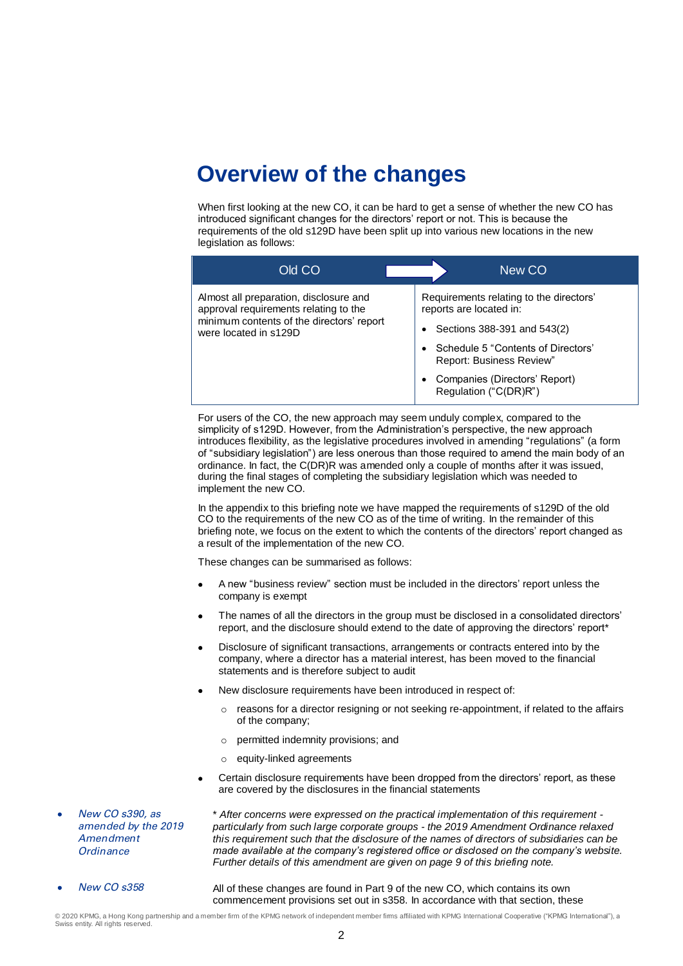### **i. Overview of the changes**

When first looking at the new CO, it can be hard to get a sense of whether the new CO has introduced significant changes for the directors' report or not. This is because the requirements of the old s129D have been split up into various new locations in the new legislation as follows:

| Old CO                                                                          | New CO                                                                |
|---------------------------------------------------------------------------------|-----------------------------------------------------------------------|
| Almost all preparation, disclosure and<br>approval requirements relating to the | Requirements relating to the directors'<br>reports are located in:    |
| minimum contents of the directors' report<br>were located in s129D              | Sections 388-391 and 543(2)                                           |
|                                                                                 | Schedule 5 "Contents of Directors"<br><b>Report: Business Review"</b> |
|                                                                                 | Companies (Directors' Report)<br>Regulation ("C(DR)R")                |

For users of the CO, the new approach may seem unduly complex, compared to the simplicity of s129D. However, from the Administration's perspective, the new approach introduces flexibility, as the legislative procedures involved in amending "regulations" (a form of "subsidiary legislation") are less onerous than those required to amend the main body of an ordinance. In fact, the C(DR)R was amended only a couple of months after it was issued, during the final stages of completing the subsidiary legislation which was needed to implement the new CO.

In the appendix to this briefing note we have mapped the requirements of s129D of the old CO to the requirements of the new CO as of the time of writing. In the remainder of this briefing note, we focus on the extent to which the contents of the directors' report changed as a result of the implementation of the new CO.

These changes can be summarised as follows:

- A new "business review" section must be included in the directors' report unless the company is exempt
- The names of all the directors in the group must be disclosed in a consolidated directors' report, and the disclosure should extend to the date of approving the directors' report\*
- Disclosure of significant transactions, arrangements or contracts entered into by the company, where a director has a material interest, has been moved to the financial statements and is therefore subject to audit
- New disclosure requirements have been introduced in respect of:
	- $\circ$  reasons for a director resigning or not seeking re-appointment, if related to the affairs of the company;
	- o permitted indemnity provisions; and
	- o equity-linked agreements
- Certain disclosure requirements have been dropped from the directors' report, as these are covered by the disclosures in the financial statements
- New CO s390, as amended by the 2019 Amendment **Ordinance**
- \* *After concerns were expressed on the practical implementation of this requirement particularly from such large corporate groups - the 2019 Amendment Ordinance relaxed this requirement such that the disclosure of the names of directors of subsidiaries can be made available at the company's registered office or disclosed on the company's website. Further details of this amendment are given on page 9 of this briefing note.*
- New CO s358 All of these changes are found in Part 9 of the new CO, which contains its own commencement provisions set out in s358. In accordance with that section, these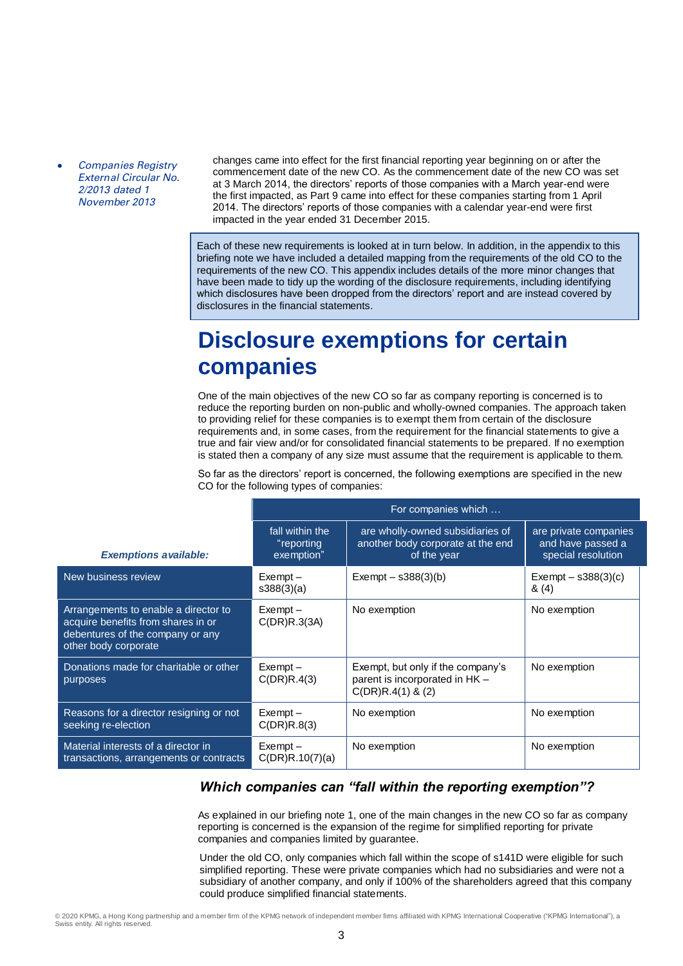Companies Registry External Circular No. 2/2013 dated 1 November 2013

changes came into effect for the first financial reporting year beginning on or after the commencement date of the new CO. As the commencement date of the new CO was set at 3 March 2014, the directors' reports of those companies with a March year-end were the first impacted, as Part 9 came into effect for these companies starting from 1 April 2014. The directors' reports of those companies with a calendar year-end were first impacted in the year ended 31 December 2015.

Each of these new requirements is looked at in turn below. In addition, in the appendix to this briefing note we have included a detailed mapping from the requirements of the old CO to the requirements of the new CO. This appendix includes details of the more minor changes that have been made to tidy up the wording of the disclosure requirements, including identifying which disclosures have been dropped from the directors' report and are instead covered by disclosures in the financial statements.

### **Disclosure exemptions for certain companies**

One of the main objectives of the new CO so far as company reporting is concerned is to reduce the reporting burden on non-public and wholly-owned companies. The approach taken to providing relief for these companies is to exempt them from certain of the disclosure requirements and, in some cases, from the requirement for the financial statements to give a true and fair view and/or for consolidated financial statements to be prepared. If no exemption is stated then a company of any size must assume that the requirement is applicable to them.

So far as the directors' report is concerned, the following exemptions are specified in the new CO for the following types of companies:

|                                                                                                                                        | For companies which                         |                                                                                            |                                                                  |
|----------------------------------------------------------------------------------------------------------------------------------------|---------------------------------------------|--------------------------------------------------------------------------------------------|------------------------------------------------------------------|
| <b>Exemptions available:</b>                                                                                                           | fall within the<br>"reporting<br>exemption" | are wholly-owned subsidiaries of<br>another body corporate at the end<br>of the year       | are private companies<br>and have passed a<br>special resolution |
| New business review                                                                                                                    | $Exempt -$<br>s388(3)(a)                    | Exempt $-$ s388(3)(b)                                                                      | Exempt $-$ s388(3)(c)<br>&(4)                                    |
| Arrangements to enable a director to<br>acquire benefits from shares in or<br>debentures of the company or any<br>other body corporate | $Exempt -$<br>C(DR)R.3(3A)                  | No exemption                                                                               | No exemption                                                     |
| Donations made for charitable or other<br>purposes                                                                                     | $Exempt -$<br>C(DR)R.4(3)                   | Exempt, but only if the company's<br>parent is incorporated in HK -<br>$C(DR)R.4(1)$ & (2) | No exemption                                                     |
| Reasons for a director resigning or not<br>seeking re-election                                                                         | $Exempt -$<br>C(DR)R.8(3)                   | No exemption                                                                               | No exemption                                                     |
| Material interests of a director in<br>transactions, arrangements or contracts                                                         | $Exempt -$<br>C(DR)R.10(7)(a)               | No exemption                                                                               | No exemption                                                     |

#### *Which companies can "fall within the reporting exemption"?*

As explained in our briefing note 1, one of the main changes in the new CO so far as company reporting is concerned is the expansion of the regime for simplified reporting for private companies and companies limited by guarantee.

Under the old CO, only companies which fall within the scope of s141D were eligible for such simplified reporting. These were private companies which had no subsidiaries and were not a subsidiary of another company, and only if 100% of the shareholders agreed that this company could produce simplified financial statements.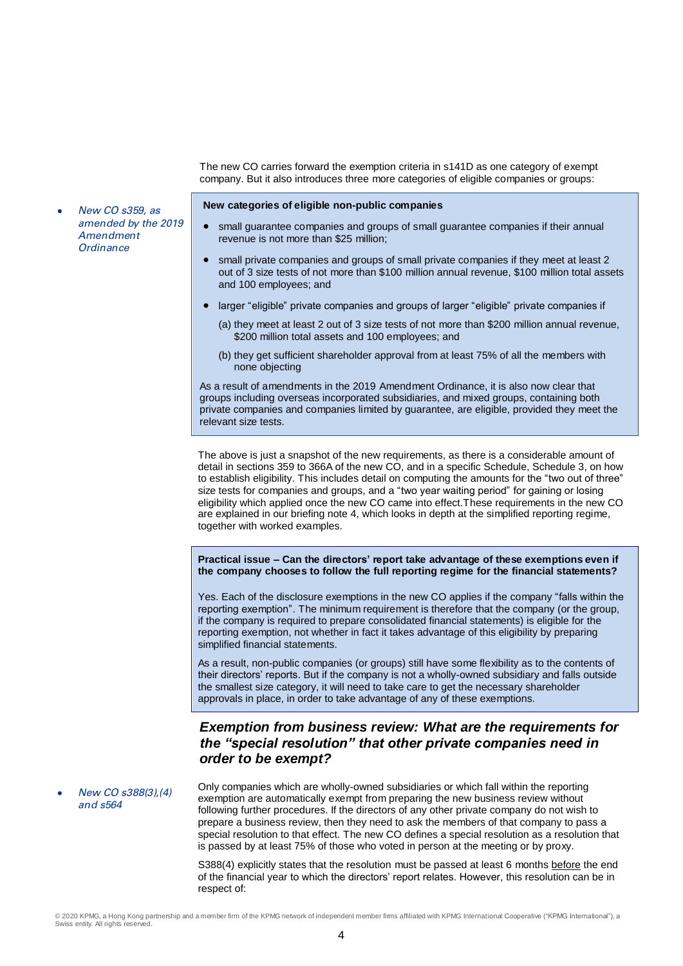**iv.** The new CO carries forward the exemption criteria in s141D as one category of exempt company. But it also introduces three more categories of eligible companies or groups:

#### New  $CO$  s359, as amended by the 2019 Amendment **Ordinance**

#### **New categories of eligible non-public companies**

- small guarantee companies and groups of small guarantee companies if their annual revenue is not more than \$25 million;
- small private companies and groups of small private companies if they meet at least 2 out of 3 size tests of not more than \$100 million annual revenue, \$100 million total assets and 100 employees; and
- larger "eligible" private companies and groups of larger "eligible" private companies if
	- (a) they meet at least 2 out of 3 size tests of not more than \$200 million annual revenue, \$200 million total assets and 100 employees; and
	- (b) they get sufficient shareholder approval from at least 75% of all the members with none objecting

As a result of amendments in the 2019 Amendment Ordinance, it is also now clear that groups including overseas incorporated subsidiaries, and mixed groups, containing both private companies and companies limited by guarantee, are eligible, provided they meet the relevant size tests.

The above is just a snapshot of the new requirements, as there is a considerable amount of detail in sections 359 to 366A of the new CO, and in a specific Schedule, Schedule 3, on how to establish eligibility. This includes detail on computing the amounts for the "two out of three" size tests for companies and groups, and a "two year waiting period" for gaining or losing eligibility which applied once the new CO came into effect.These requirements in the new CO are explained in our briefing note 4, which looks in depth at the simplified reporting regime, together with worked examples.

**Practical issue – Can the directors' report take advantage of these exemptions even if the company chooses to follow the full reporting regime for the financial statements?**

Yes. Each of the disclosure exemptions in the new CO applies if the company "falls within the reporting exemption". The minimum requirement is therefore that the company (or the group, if the company is required to prepare consolidated financial statements) is eligible for the reporting exemption, not whether in fact it takes advantage of this eligibility by preparing simplified financial statements.

As a result, non-public companies (or groups) still have some flexibility as to the contents of their directors' reports. But if the company is not a wholly-owned subsidiary and falls outside the smallest size category, it will need to take care to get the necessary shareholder approvals in place, in order to take advantage of any of these exemptions.

**v.** *Exemption from business review: What are the requirements for the "special resolution" that other private companies need in order to be exempt?*

 New CO s388(3),(4) and s564

Only companies which are wholly-owned subsidiaries or which fall within the reporting exemption are automatically exempt from preparing the new business review without following further procedures. If the directors of any other private company do not wish to prepare a business review, then they need to ask the members of that company to pass a special resolution to that effect. The new CO defines a special resolution as a resolution that is passed by at least 75% of those who voted in person at the meeting or by proxy.

S388(4) explicitly states that the resolution must be passed at least 6 months before the end of the financial year to which the directors' report relates. However, this resolution can be in respect of: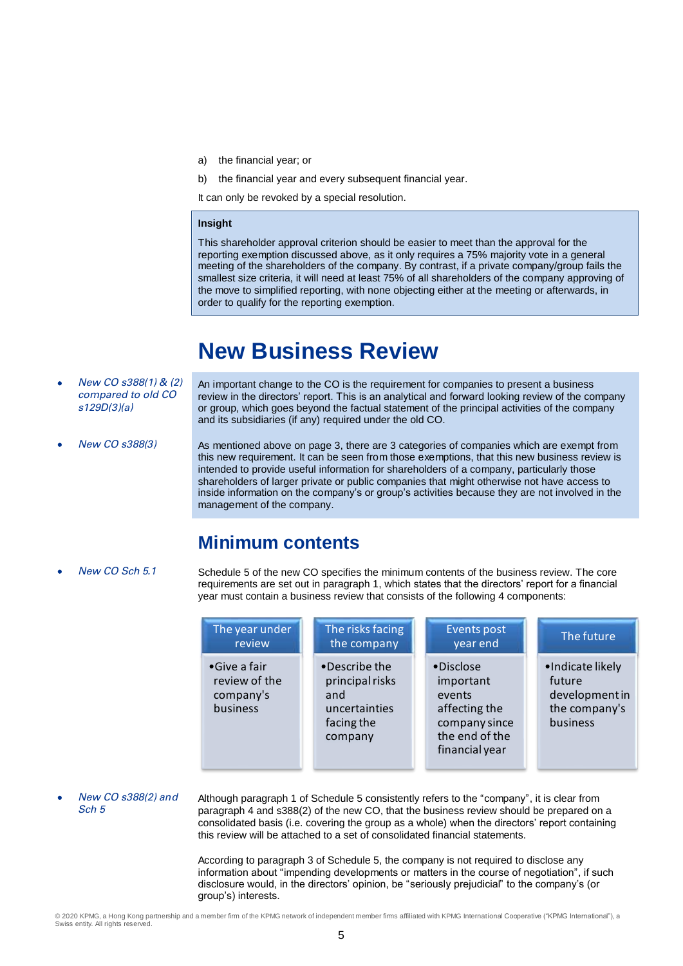- a) the financial year; or
- b) the financial year and every subsequent financial year.

It can only be revoked by a special resolution.

#### **Insight**

This shareholder approval criterion should be easier to meet than the approval for the reporting exemption discussed above, as it only requires a 75% majority vote in a general meeting of the shareholders of the company. By contrast, if a private company/group fails the smallest size criteria, it will need at least 75% of all shareholders of the company approving of the move to simplified reporting, with none objecting either at the meeting or afterwards, in order to qualify for the reporting exemption.

### **New Business Review**

 New CO s388(1) & (2) compared to old CO s129D(3)(a)

An important change to the CO is the requirement for companies to present a business review in the directors' report. This is an analytical and forward looking review of the company or group, which goes beyond the factual statement of the principal activities of the company and its subsidiaries (if any) required under the old CO.

New CO s388(3) As mentioned above on page 3, there are 3 categories of companies which are exempt from this new requirement. It can be seen from those exemptions, that this new business review is intended to provide useful information for shareholders of a company, particularly those shareholders of larger private or public companies that might otherwise not have access to inside information on the company's or group's activities because they are not involved in the management of the company.

### **Minimum contents**

New CO Sch 5.1 Schedule 5 of the new CO specifies the minimum contents of the business review. The core requirements are set out in paragraph 1, which states that the directors' report for a financial year must contain a business review that consists of the following 4 components:

| The year under                                                  | The risks facing                                                                  | Events post                                                                                            | The future                                                                |
|-----------------------------------------------------------------|-----------------------------------------------------------------------------------|--------------------------------------------------------------------------------------------------------|---------------------------------------------------------------------------|
| review                                                          | the company                                                                       | year end                                                                                               |                                                                           |
| $\bullet$ Give a fair<br>review of the<br>company's<br>business | •Describe the<br>principal risks<br>and<br>uncertainties<br>facing the<br>company | •Disclose<br>important<br>events<br>affecting the<br>company since<br>the end of the<br>financial year | ·Indicate likely<br>future<br>development in<br>the company's<br>business |

 New CO s388(2) and Sch 5 Although paragraph 1 of Schedule 5 consistently refers to the "company", it is clear from paragraph 4 and s388(2) of the new CO, that the business review should be prepared on a consolidated basis (i.e. covering the group as a whole) when the directors' report containing this review will be attached to a set of consolidated financial statements.

> According to paragraph 3 of Schedule 5, the company is not required to disclose any information about "impending developments or matters in the course of negotiation", if such disclosure would, in the directors' opinion, be "seriously prejudicial" to the company's (or group's) interests.

© 2020 KPMG, a Hong Kong partnership and a member firm of the KPMG network of independent member firms affiliated with KPMG International Cooperative ("KPMG International"), a Swiss entity. All rights reserved.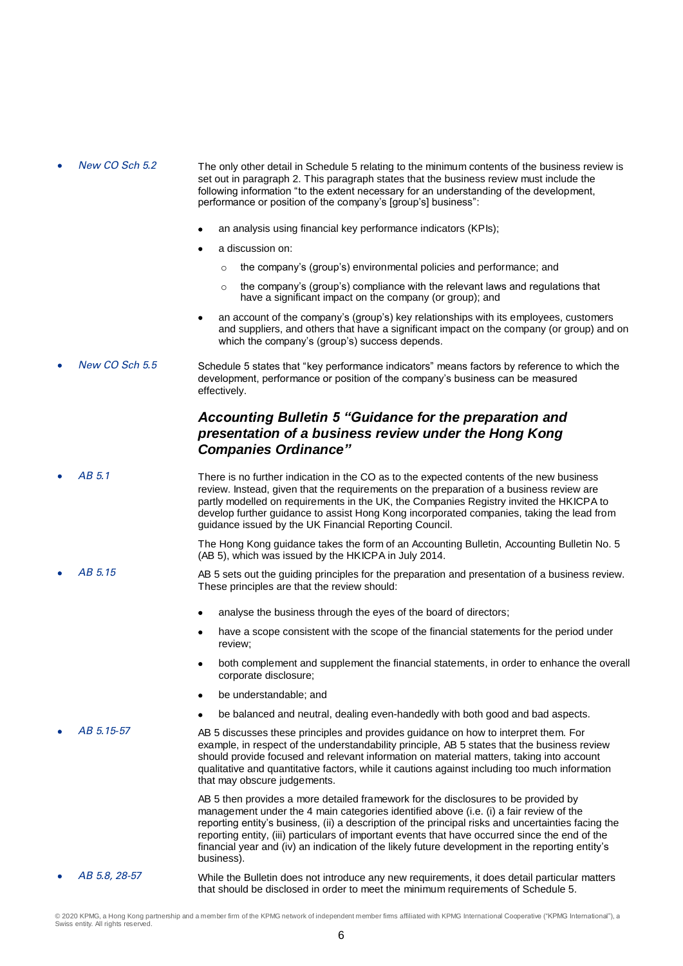New CO Sch 5.2 The only other detail in Schedule 5 relating to the minimum contents of the business review is set out in paragraph 2. This paragraph states that the business review must include the following information "to the extent necessary for an understanding of the development, performance or position of the company's [group's] business":

- an analysis using financial key performance indicators (KPIs);
- a discussion on:
	- o the company's (group's) environmental policies and performance; and
	- $\circ$  the company's (group's) compliance with the relevant laws and regulations that have a significant impact on the company (or group); and
- an account of the company's (group's) key relationships with its employees, customers and suppliers, and others that have a significant impact on the company (or group) and on which the company's (group's) success depends.
- New CO Sch 5.5 Schedule 5 states that "key performance indicators" means factors by reference to which the development, performance or position of the company's business can be measured effectively.

#### *Accounting Bulletin 5 "Guidance for the preparation and presentation of a business review under the Hong Kong Companies Ordinance"*

AB 5.1 There is no further indication in the CO as to the expected contents of the new business review. Instead, given that the requirements on the preparation of a business review are partly modelled on requirements in the UK, the Companies Registry invited the HKICPA to develop further guidance to assist Hong Kong incorporated companies, taking the lead from guidance issued by the UK Financial Reporting Council.

> The Hong Kong guidance takes the form of an Accounting Bulletin, Accounting Bulletin No. 5 (AB 5), which was issued by the HKICPA in July 2014.

- AB 5.15 AB 5 sets out the guiding principles for the preparation and presentation of a business review. These principles are that the review should:
	- analyse the business through the eyes of the board of directors;
	- have a scope consistent with the scope of the financial statements for the period under review;
	- both complement and supplement the financial statements, in order to enhance the overall corporate disclosure;
	- be understandable; and
	- be balanced and neutral, dealing even-handedly with both good and bad aspects.
	- AB 5.15-57 AB 5 discusses these principles and provides guidance on how to interpret them. For example, in respect of the understandability principle, AB 5 states that the business review should provide focused and relevant information on material matters, taking into account qualitative and quantitative factors, while it cautions against including too much information that may obscure judgements.

AB 5 then provides a more detailed framework for the disclosures to be provided by management under the 4 main categories identified above (i.e. (i) a fair review of the reporting entity's business, (ii) a description of the principal risks and uncertainties facing the reporting entity, (iii) particulars of important events that have occurred since the end of the financial year and (iv) an indication of the likely future development in the reporting entity's business).

AB 5.8, 28-57 While the Bulletin does not introduce any new requirements, it does detail particular matters that should be disclosed in order to meet the minimum requirements of Schedule 5.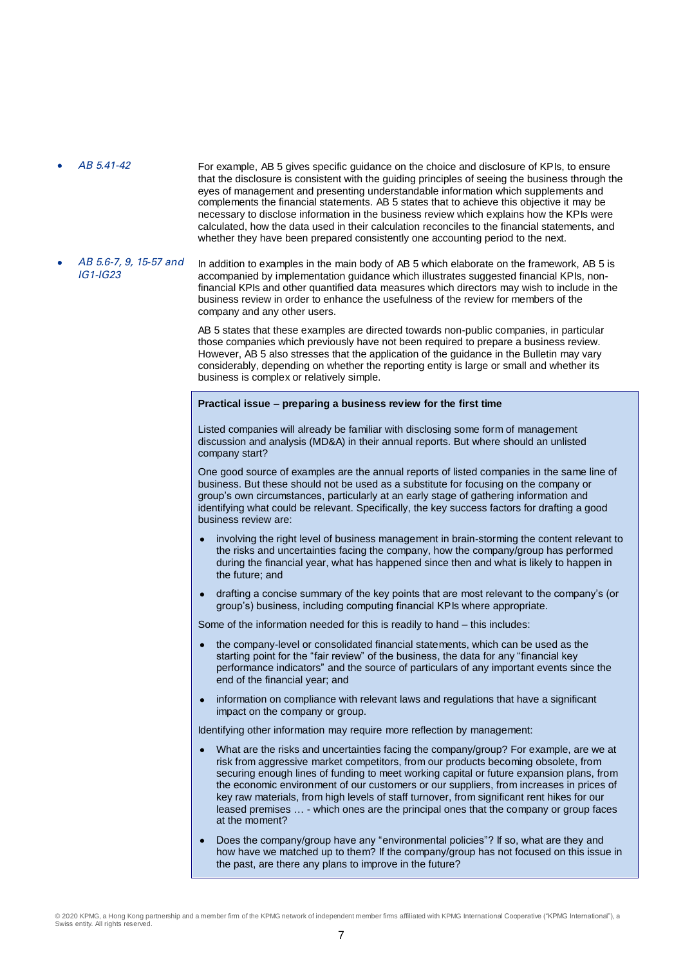AB 5.41-42 For example, AB 5 gives specific guidance on the choice and disclosure of KPIs, to ensure that the disclosure is consistent with the guiding principles of seeing the business through the eyes of management and presenting understandable information which supplements and complements the financial statements. AB 5 states that to achieve this objective it may be necessary to disclose information in the business review which explains how the KPIs were calculated, how the data used in their calculation reconciles to the financial statements, and whether they have been prepared consistently one accounting period to the next.

 AB 5.6-7, 9, 15-57 and IG1-IG23 In addition to examples in the main body of AB 5 which elaborate on the framework, AB 5 is accompanied by implementation guidance which illustrates suggested financial KPIs, nonfinancial KPIs and other quantified data measures which directors may wish to include in the business review in order to enhance the usefulness of the review for members of the company and any other users.

> AB 5 states that these examples are directed towards non-public companies, in particular those companies which previously have not been required to prepare a business review. However, AB 5 also stresses that the application of the guidance in the Bulletin may vary considerably, depending on whether the reporting entity is large or small and whether its business is complex or relatively simple.

#### **Practical issue – preparing a business review for the first time**

Listed companies will already be familiar with disclosing some form of management discussion and analysis (MD&A) in their annual reports. But where should an unlisted company start?

One good source of examples are the annual reports of listed companies in the same line of business. But these should not be used as a substitute for focusing on the company or group's own circumstances, particularly at an early stage of gathering information and identifying what could be relevant. Specifically, the key success factors for drafting a good business review are:

- involving the right level of business management in brain-storming the content relevant to the risks and uncertainties facing the company, how the company/group has performed during the financial year, what has happened since then and what is likely to happen in the future; and
- drafting a concise summary of the key points that are most relevant to the company's (or group's) business, including computing financial KPIs where appropriate.

Some of the information needed for this is readily to hand – this includes:

- the company-level or consolidated financial statements, which can be used as the starting point for the "fair review" of the business, the data for any "financial key performance indicators" and the source of particulars of any important events since the end of the financial year; and
- information on compliance with relevant laws and regulations that have a significant impact on the company or group.

Identifying other information may require more reflection by management:

- What are the risks and uncertainties facing the company/group? For example, are we at risk from aggressive market competitors, from our products becoming obsolete, from securing enough lines of funding to meet working capital or future expansion plans, from the economic environment of our customers or our suppliers, from increases in prices of key raw materials, from high levels of staff turnover, from significant rent hikes for our leased premises … - which ones are the principal ones that the company or group faces at the moment?
- Does the company/group have any "environmental policies"? If so, what are they and how have we matched up to them? If the company/group has not focused on this issue in the past, are there any plans to improve in the future?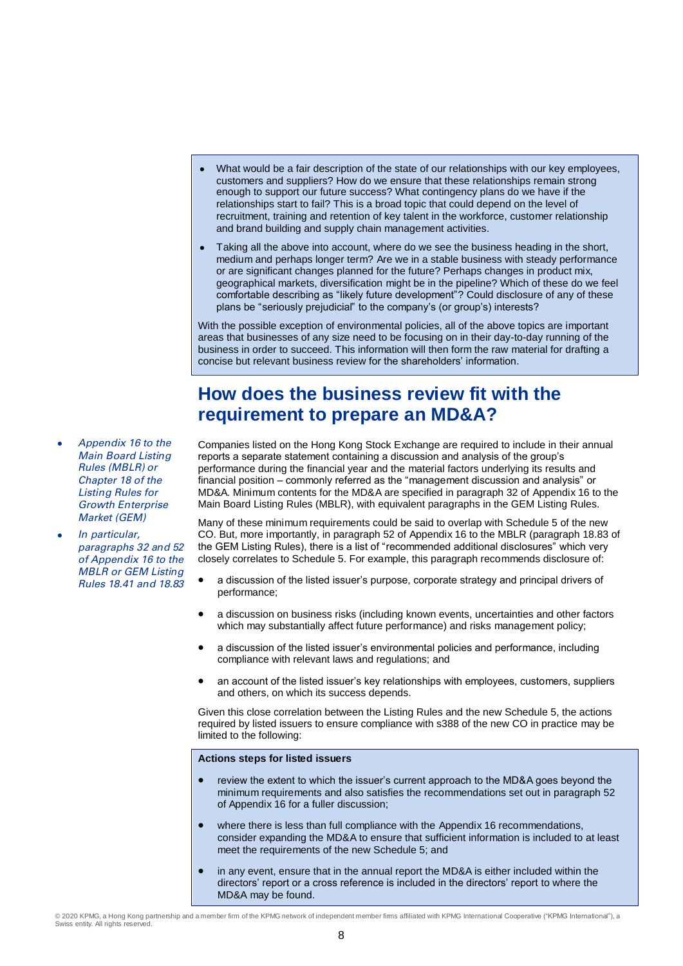- What would be a fair description of the state of our relationships with our key employees, customers and suppliers? How do we ensure that these relationships remain strong enough to support our future success? What contingency plans do we have if the relationships start to fail? This is a broad topic that could depend on the level of recruitment, training and retention of key talent in the workforce, customer relationship and brand building and supply chain management activities.
- Taking all the above into account, where do we see the business heading in the short, medium and perhaps longer term? Are we in a stable business with steady performance or are significant changes planned for the future? Perhaps changes in product mix, geographical markets, diversification might be in the pipeline? Which of these do we feel comfortable describing as "likely future development"? Could disclosure of any of these plans be "seriously prejudicial" to the company's (or group's) interests?

With the possible exception of environmental policies, all of the above topics are important areas that businesses of any size need to be focusing on in their day-to-day running of the business in order to succeed. This information will then form the raw material for drafting a concise but relevant business review for the shareholders' information.

### **How does the business review fit with the requirement to prepare an MD&A?**

Companies listed on the Hong Kong Stock Exchange are required to include in their annual reports a separate statement containing a discussion and analysis of the group's performance during the financial year and the material factors underlying its results and financial position – commonly referred as the "management discussion and analysis" or MD&A. Minimum contents for the MD&A are specified in paragraph 32 of Appendix 16 to the Main Board Listing Rules (MBLR), with equivalent paragraphs in the GEM Listing Rules.

Many of these minimum requirements could be said to overlap with Schedule 5 of the new CO. But, more importantly, in paragraph 52 of Appendix 16 to the MBLR (paragraph 18.83 of the GEM Listing Rules), there is a list of "recommended additional disclosures" which very closely correlates to Schedule 5. For example, this paragraph recommends disclosure of:

- a discussion of the listed issuer's purpose, corporate strategy and principal drivers of performance;
- a discussion on business risks (including known events, uncertainties and other factors which may substantially affect future performance) and risks management policy;
- a discussion of the listed issuer's environmental policies and performance, including compliance with relevant laws and regulations; and
- an account of the listed issuer's key relationships with employees, customers, suppliers and others, on which its success depends.

Given this close correlation between the Listing Rules and the new Schedule 5, the actions required by listed issuers to ensure compliance with s388 of the new CO in practice may be limited to the following:

#### **Actions steps for listed issuers**

- review the extent to which the issuer's current approach to the MD&A goes beyond the minimum requirements and also satisfies the recommendations set out in paragraph 52 of Appendix 16 for a fuller discussion;
- where there is less than full compliance with the Appendix 16 recommendations, consider expanding the MD&A to ensure that sufficient information is included to at least meet the requirements of the new Schedule 5; and
- in any event, ensure that in the annual report the MD&A is either included within the directors' report or a cross reference is included in the directors' report to where the MD&A may be found.

 Appendix 16 to the Main Board Listing Rules (MBLR) or Chapter 18 of the Listing Rules for Growth Enterprise Market (GEM)

 In particular, paragraphs 32 and 52 of Appendix 16 to the MBLR or GEM Listing Rules 18.41 and 18.83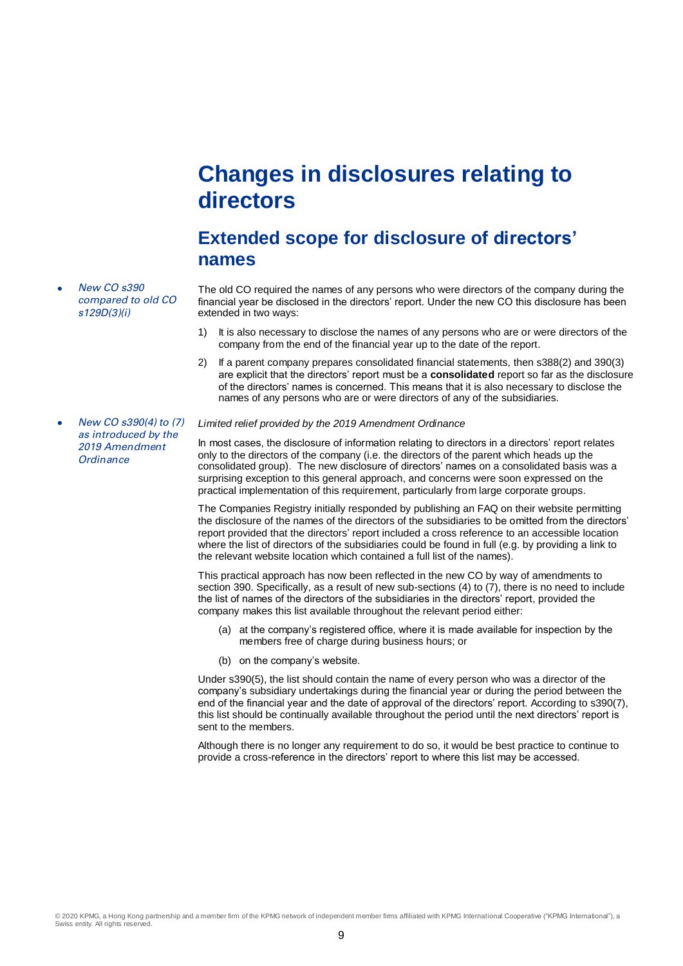### **Changes in disclosures relating to directors**

### **Extended scope for disclosure of directors' names**

 New CO s390 compared to old CO s129D(3)(i)

The old CO required the names of any persons who were directors of the company during the financial year be disclosed in the directors' report. Under the new CO this disclosure has been extended in two ways:

- 1) It is also necessary to disclose the names of any persons who are or were directors of the company from the end of the financial year up to the date of the report.
- 2) If a parent company prepares consolidated financial statements, then s388(2) and 390(3) are explicit that the directors' report must be a **consolidated** report so far as the disclosure of the directors' names is concerned. This means that it is also necessary to disclose the names of any persons who are or were directors of any of the subsidiaries.

 New CO s390(4) to (7) as introduced by the 2019 Amendment Ordinance

#### *Limited relief provided by the 2019 Amendment Ordinance*

In most cases, the disclosure of information relating to directors in a directors' report relates only to the directors of the company (i.e. the directors of the parent which heads up the consolidated group). The new disclosure of directors' names on a consolidated basis was a surprising exception to this general approach, and concerns were soon expressed on the practical implementation of this requirement, particularly from large corporate groups.

The Companies Registry initially responded by publishing an FAQ on their website permitting the disclosure of the names of the directors of the subsidiaries to be omitted from the directors' report provided that the directors' report included a cross reference to an accessible location where the list of directors of the subsidiaries could be found in full (e.g. by providing a link to the relevant website location which contained a full list of the names).

This practical approach has now been reflected in the new CO by way of amendments to section 390. Specifically, as a result of new sub-sections (4) to (7), there is no need to include the list of names of the directors of the subsidiaries in the directors' report, provided the company makes this list available throughout the relevant period either:

- (a) at the company's registered office, where it is made available for inspection by the members free of charge during business hours; or
- (b) on the company's website.

Under s390(5), the list should contain the name of every person who was a director of the company's subsidiary undertakings during the financial year or during the period between the end of the financial year and the date of approval of the directors' report. According to s390(7), this list should be continually available throughout the period until the next directors' report is sent to the members.

Although there is no longer any requirement to do so, it would be best practice to continue to provide a cross-reference in the directors' report to where this list may be accessed.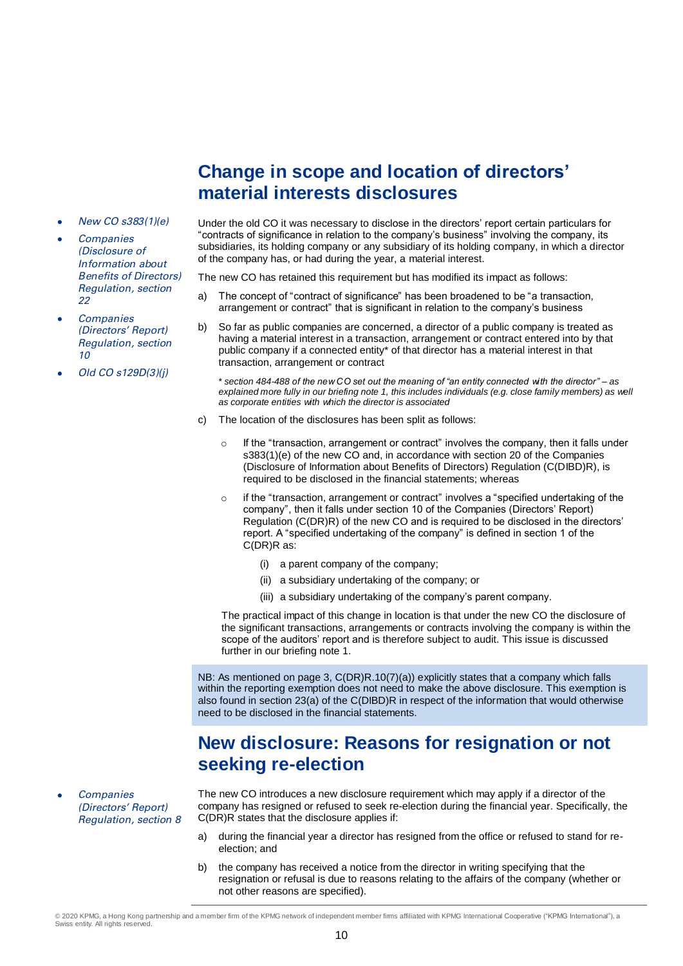### **Change in scope and location of directors' material interests disclosures**

- New CO s383(1)(e)
- **Companies** (Disclosure of Information about Benefits of Directors) Regulation, section 22
- **Companies** (Directors' Report) Regulation, section 10
- Old CO s129D(3)(j)

Under the old CO it was necessary to disclose in the directors' report certain particulars for "contracts of significance in relation to the company's business" involving the company, its subsidiaries, its holding company or any subsidiary of its holding company, in which a director of the company has, or had during the year, a material interest.

The new CO has retained this requirement but has modified its impact as follows:

- a) The concept of "contract of significance" has been broadened to be "a transaction, arrangement or contract" that is significant in relation to the company's business
- b) So far as public companies are concerned, a director of a public company is treated as having a material interest in a transaction, arrangement or contract entered into by that public company if a connected entity\* of that director has a material interest in that transaction, arrangement or contract
	- \* *section 484-488 of the new CO set out the meaning of "an entity connected with the director" – as explained more fully in our briefing note 1, this includes individuals (e.g. close family members) as well as corporate entities with which the director is associated*
- c) The location of the disclosures has been split as follows:
	- $\circ$  If the "transaction, arrangement or contract" involves the company, then it falls under s383(1)(e) of the new CO and, in accordance with section 20 of the Companies (Disclosure of Information about Benefits of Directors) Regulation (C(DIBD)R), is required to be disclosed in the financial statements; whereas
	- $\circ$  if the "transaction, arrangement or contract" involves a "specified undertaking of the company", then it falls under section 10 of the Companies (Directors' Report) Regulation (C(DR)R) of the new CO and is required to be disclosed in the directors' report. A "specified undertaking of the company" is defined in section 1 of the C(DR)R as:
		- (i) a parent company of the company;
		- (ii) a subsidiary undertaking of the company; or
		- (iii) a subsidiary undertaking of the company's parent company.

The practical impact of this change in location is that under the new CO the disclosure of the significant transactions, arrangements or contracts involving the company is within the scope of the auditors' report and is therefore subject to audit. This issue is discussed further in our briefing note 1.

NB: As mentioned on page 3, C(DR)R.10(7)(a)) explicitly states that a company which falls within the reporting exemption does not need to make the above disclosure. This exemption is also found in section 23(a) of the C(DIBD)R in respect of the information that would otherwise need to be disclosed in the financial statements.

### **New disclosure: Reasons for resignation or not seeking re-election**

**Companies** (Directors' Report) Regulation, section 8 The new CO introduces a new disclosure requirement which may apply if a director of the company has resigned or refused to seek re-election during the financial year. Specifically, the C(DR)R states that the disclosure applies if:

- a) during the financial year a director has resigned from the office or refused to stand for reelection; and
- b) the company has received a notice from the director in writing specifying that the resignation or refusal is due to reasons relating to the affairs of the company (whether or not other reasons are specified).

© 2020 KPMG, a Hong Kong partnership and a member firm of the KPMG network of independent member firms affiliated with KPMG International Cooperative ("KPMG International"), a Swiss entity. All rights reserved.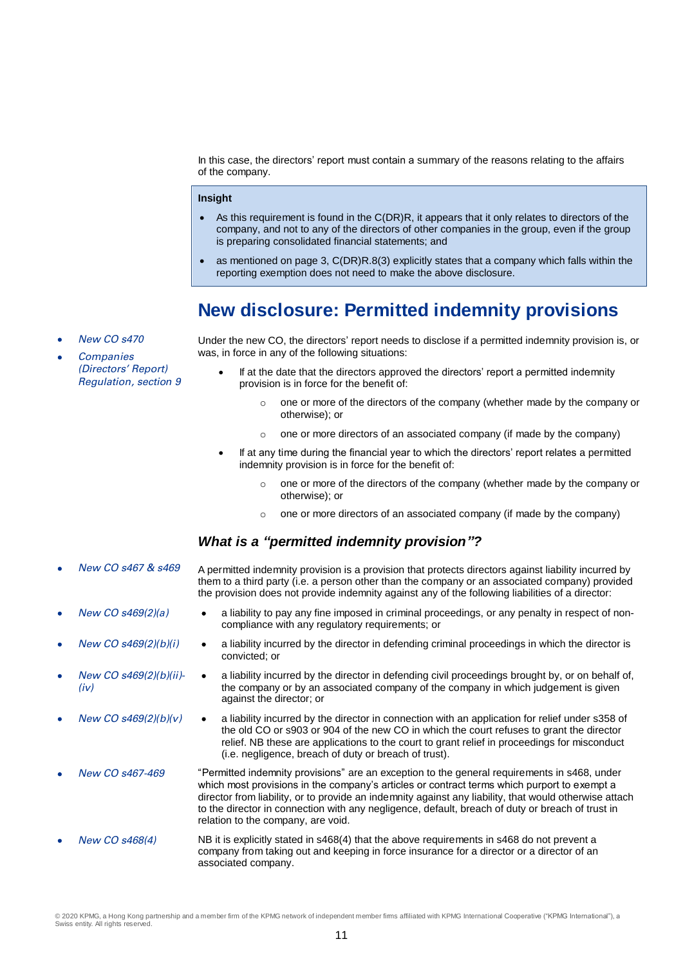In this case, the directors' report must contain a summary of the reasons relating to the affairs of the company.

#### **Insight**

- As this requirement is found in the C(DR)R, it appears that it only relates to directors of the company, and not to any of the directors of other companies in the group, even if the group is preparing consolidated financial statements; and
- as mentioned on page 3, C(DR)R.8(3) explicitly states that a company which falls within the reporting exemption does not need to make the above disclosure.

### **New disclosure: Permitted indemnity provisions**

- New CO s470
- **Companies** (Directors' Report) Regulation, section 9

Under the new CO, the directors' report needs to disclose if a permitted indemnity provision is, or was, in force in any of the following situations:

- If at the date that the directors approved the directors' report a permitted indemnity provision is in force for the benefit of:
	- $\circ$  one or more of the directors of the company (whether made by the company or otherwise); or
	- o one or more directors of an associated company (if made by the company)
- If at any time during the financial year to which the directors' report relates a permitted indemnity provision is in force for the benefit of:
	- o one or more of the directors of the company (whether made by the company or otherwise); or
	- o one or more directors of an associated company (if made by the company)

#### *What is a "permitted indemnity provision"?*

- New CO s467 & s469 A permitted indemnity provision is a provision that protects directors against liability incurred by them to a third party (i.e. a person other than the company or an associated company) provided the provision does not provide indemnity against any of the following liabilities of a director:
- 
- 
- New CO s469(2)(b)(ii)-  $(iv)$
- 
- New CO s469(2)(a)  $\bullet$  a liability to pay any fine imposed in criminal proceedings, or any penalty in respect of noncompliance with any regulatory requirements; or
- New CO s469(2)(b)(i)  $\bullet$  a liability incurred by the director in defending criminal proceedings in which the director is convicted; or
	- a liability incurred by the director in defending civil proceedings brought by, or on behalf of, the company or by an associated company of the company in which judgement is given against the director; or
	- New CO s469(2)(b)(v)  $\bullet$  a liability incurred by the director in connection with an application for relief under s358 of the old CO or s903 or 904 of the new CO in which the court refuses to grant the director relief. NB these are applications to the court to grant relief in proceedings for misconduct (i.e. negligence, breach of duty or breach of trust).
- New CO s467-469 "Permitted indemnity provisions" are an exception to the general requirements in s468, under which most provisions in the company's articles or contract terms which purport to exempt a director from liability, or to provide an indemnity against any liability, that would otherwise attach to the director in connection with any negligence, default, breach of duty or breach of trust in relation to the company, are void.
- New CO s468(4) NB it is explicitly stated in s468(4) that the above requirements in s468 do not prevent a company from taking out and keeping in force insurance for a director or a director of an associated company.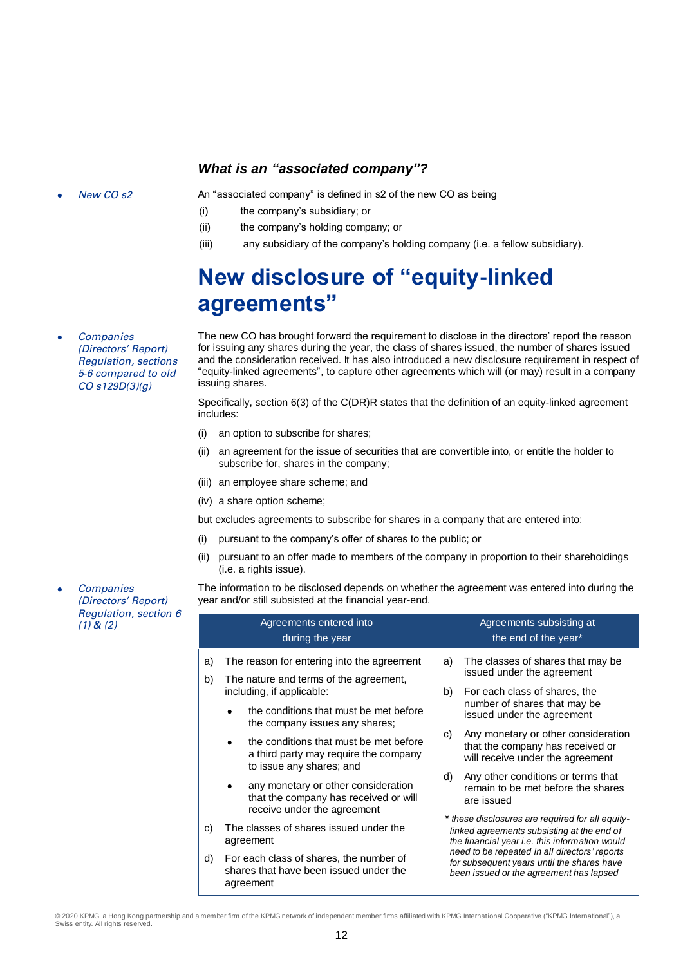#### *What is an "associated company"?*

New CO s2 **An** "associated company" is defined in s2 of the new CO as being

- (i) the company's subsidiary; or
- (ii) the company's holding company; or
- (iii) any subsidiary of the company's holding company (i.e. a fellow subsidiary).

### **New disclosure of "equity-linked agreements"**

**Companies** (Directors' Report) Regulation, sections 5-6 compared to old CO s129D(3)(g)

The new CO has brought forward the requirement to disclose in the directors' report the reason for issuing any shares during the year, the class of shares issued, the number of shares issued and the consideration received. It has also introduced a new disclosure requirement in respect of "equity-linked agreements", to capture other agreements which will (or may) result in a company issuing shares.

Specifically, section 6(3) of the C(DR)R states that the definition of an equity-linked agreement includes:

- (i) an option to subscribe for shares;
- (ii) an agreement for the issue of securities that are convertible into, or entitle the holder to subscribe for, shares in the company;
- (iii) an employee share scheme; and
- (iv) a share option scheme;
- but excludes agreements to subscribe for shares in a company that are entered into:
- (i) pursuant to the company's offer of shares to the public; or
- (ii) pursuant to an offer made to members of the company in proportion to their shareholdings (i.e. a rights issue).

The information to be disclosed depends on whether the agreement was entered into during the year and/or still subsisted at the financial year-end.

|          | Agreements entered into<br>during the year                                                                                                                                                                                                                                                                                                          |                      | Agreements subsisting at<br>the end of the year*                                                                                                                                                                                                                                                                                                          |
|----------|-----------------------------------------------------------------------------------------------------------------------------------------------------------------------------------------------------------------------------------------------------------------------------------------------------------------------------------------------------|----------------------|-----------------------------------------------------------------------------------------------------------------------------------------------------------------------------------------------------------------------------------------------------------------------------------------------------------------------------------------------------------|
| a)<br>b) | The reason for entering into the agreement<br>The nature and terms of the agreement,<br>including, if applicable:<br>the conditions that must be met before<br>the company issues any shares;<br>the conditions that must be met before<br>a third party may require the company<br>to issue any shares; and<br>any monetary or other consideration | a)<br>b)<br>C)<br>d) | The classes of shares that may be<br>issued under the agreement<br>For each class of shares, the<br>number of shares that may be<br>issued under the agreement<br>Any monetary or other consideration<br>that the company has received or<br>will receive under the agreement<br>Any other conditions or terms that<br>remain to be met before the shares |
| C)<br>d) | that the company has received or will<br>receive under the agreement<br>The classes of shares issued under the<br>agreement<br>For each class of shares, the number of<br>shares that have been issued under the<br>agreement                                                                                                                       |                      | are issued<br>* these disclosures are required for all equity-<br>linked agreements subsisting at the end of<br>the financial year i.e. this information would<br>need to be repeated in all directors' reports<br>for subsequent years until the shares have<br>been issued or the agreement has lapsed                                                  |

**Companies** (Directors' Report) Regulation, section 6  $(1)$  &  $(2)$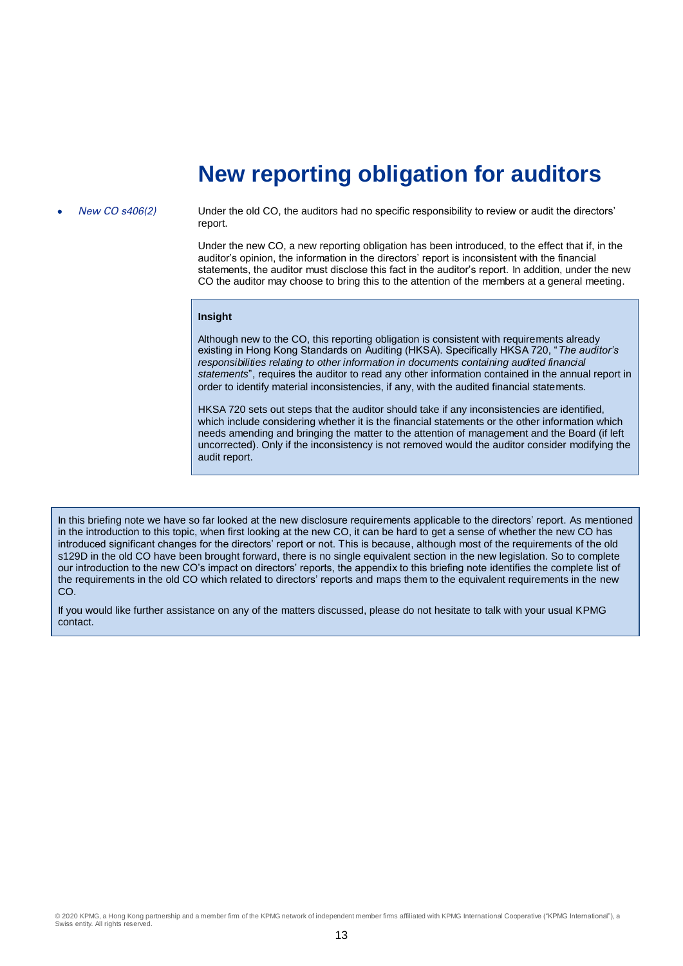### **New reporting obligation for auditors**

 New CO s406(2) Under the old CO, the auditors had no specific responsibility to review or audit the directors' report.

> Under the new CO, a new reporting obligation has been introduced, to the effect that if, in the auditor's opinion, the information in the directors' report is inconsistent with the financial statements, the auditor must disclose this fact in the auditor's report. In addition, under the new CO the auditor may choose to bring this to the attention of the members at a general meeting.

#### **Insight**

Although new to the CO, this reporting obligation is consistent with requirements already existing in Hong Kong Standards on Auditing (HKSA). Specifically HKSA 720, "*The auditor's responsibilities relating to other information in documents containing audited financial statements*", requires the auditor to read any other information contained in the annual report in order to identify material inconsistencies, if any, with the audited financial statements.

HKSA 720 sets out steps that the auditor should take if any inconsistencies are identified, which include considering whether it is the financial statements or the other information which needs amending and bringing the matter to the attention of management and the Board (if left uncorrected). Only if the inconsistency is not removed would the auditor consider modifying the audit report.

In this briefing note we have so far looked at the new disclosure requirements applicable to the directors' report. As mentioned in the introduction to this topic, when first looking at the new CO, it can be hard to get a sense of whether the new CO has introduced significant changes for the directors' report or not. This is because, although most of the requirements of the old s129D in the old CO have been brought forward, there is no single equivalent section in the new legislation. So to complete our introduction to the new CO's impact on directors' reports, the appendix to this briefing note identifies the complete list of the requirements in the old CO which related to directors' reports and maps them to the equivalent requirements in the new CO.

If you would like further assistance on any of the matters discussed, please do not hesitate to talk with your usual KPMG contact.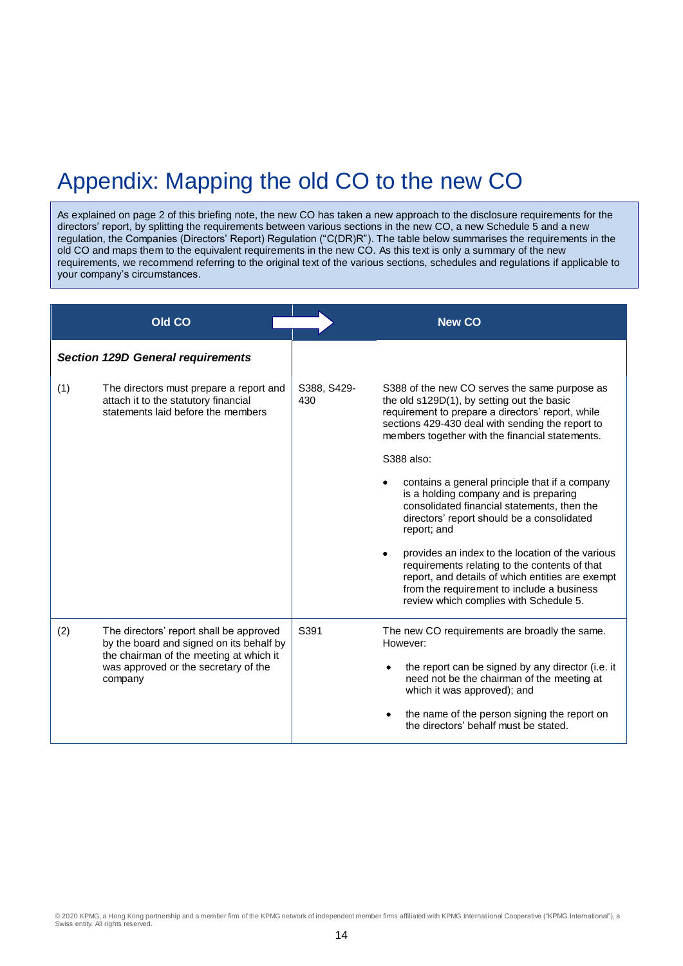### Appendix: Mapping the old CO to the new CO

As explained on page 2 of this briefing note, the new CO has taken a new approach to the disclosure requirements for the directors' report, by splitting the requirements between various sections in the new CO, a new Schedule 5 and a new regulation, the Companies (Directors' Report) Regulation ("C(DR)R"). The table below summarises the requirements in the old CO and maps them to the equivalent requirements in the new CO. As this text is only a summary of the new requirements, we recommend referring to the original text of the various sections, schedules and regulations if applicable to your company's circumstances.

|     | <b>Old CO</b>                                                                                                                                                                     |                    | <b>New CO</b>                                                                                                                                                                                                                                                                                                                                                                                                                                                                                                                                                                                                                                                                                                                 |
|-----|-----------------------------------------------------------------------------------------------------------------------------------------------------------------------------------|--------------------|-------------------------------------------------------------------------------------------------------------------------------------------------------------------------------------------------------------------------------------------------------------------------------------------------------------------------------------------------------------------------------------------------------------------------------------------------------------------------------------------------------------------------------------------------------------------------------------------------------------------------------------------------------------------------------------------------------------------------------|
|     | <b>Section 129D General requirements</b>                                                                                                                                          |                    |                                                                                                                                                                                                                                                                                                                                                                                                                                                                                                                                                                                                                                                                                                                               |
| (1) | The directors must prepare a report and<br>attach it to the statutory financial<br>statements laid before the members                                                             | S388, S429-<br>430 | S388 of the new CO serves the same purpose as<br>the old s129D(1), by setting out the basic<br>requirement to prepare a directors' report, while<br>sections 429-430 deal with sending the report to<br>members together with the financial statements.<br>S388 also:<br>contains a general principle that if a company<br>is a holding company and is preparing<br>consolidated financial statements, then the<br>directors' report should be a consolidated<br>report; and<br>provides an index to the location of the various<br>requirements relating to the contents of that<br>report, and details of which entities are exempt<br>from the requirement to include a business<br>review which complies with Schedule 5. |
| (2) | The directors' report shall be approved<br>by the board and signed on its behalf by<br>the chairman of the meeting at which it<br>was approved or the secretary of the<br>company | S391               | The new CO requirements are broadly the same.<br>However:<br>the report can be signed by any director (i.e. it<br>٠<br>need not be the chairman of the meeting at<br>which it was approved); and<br>the name of the person signing the report on<br>$\bullet$<br>the directors' behalf must be stated.                                                                                                                                                                                                                                                                                                                                                                                                                        |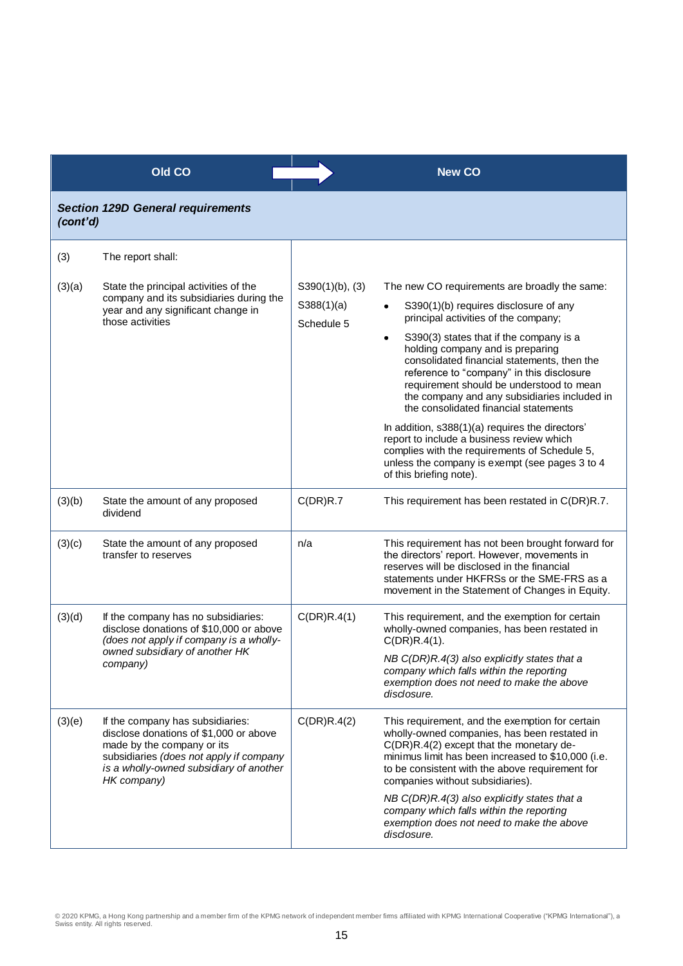|          | <b>Old CO</b>                                                                                                                                                                                                 |                                                | <b>New CO</b>                                                                                                                                                                                                                                                                                                                                                                                                                                                                                                                                                                                                                                                                             |
|----------|---------------------------------------------------------------------------------------------------------------------------------------------------------------------------------------------------------------|------------------------------------------------|-------------------------------------------------------------------------------------------------------------------------------------------------------------------------------------------------------------------------------------------------------------------------------------------------------------------------------------------------------------------------------------------------------------------------------------------------------------------------------------------------------------------------------------------------------------------------------------------------------------------------------------------------------------------------------------------|
| (cont'd) | <b>Section 129D General requirements</b>                                                                                                                                                                      |                                                |                                                                                                                                                                                                                                                                                                                                                                                                                                                                                                                                                                                                                                                                                           |
| (3)      | The report shall:                                                                                                                                                                                             |                                                |                                                                                                                                                                                                                                                                                                                                                                                                                                                                                                                                                                                                                                                                                           |
| (3)(a)   | State the principal activities of the<br>company and its subsidiaries during the<br>year and any significant change in<br>those activities                                                                    | $S390(1)(b)$ , (3)<br>S388(1)(a)<br>Schedule 5 | The new CO requirements are broadly the same:<br>S390(1)(b) requires disclosure of any<br>principal activities of the company;<br>S390(3) states that if the company is a<br>$\bullet$<br>holding company and is preparing<br>consolidated financial statements, then the<br>reference to "company" in this disclosure<br>requirement should be understood to mean<br>the company and any subsidiaries included in<br>the consolidated financial statements<br>In addition, s388(1)(a) requires the directors'<br>report to include a business review which<br>complies with the requirements of Schedule 5,<br>unless the company is exempt (see pages 3 to 4<br>of this briefing note). |
| (3)(b)   | State the amount of any proposed<br>dividend                                                                                                                                                                  | C(DR)R.7                                       | This requirement has been restated in C(DR)R.7.                                                                                                                                                                                                                                                                                                                                                                                                                                                                                                                                                                                                                                           |
| (3)(c)   | State the amount of any proposed<br>transfer to reserves                                                                                                                                                      | n/a                                            | This requirement has not been brought forward for<br>the directors' report. However, movements in<br>reserves will be disclosed in the financial<br>statements under HKFRSs or the SME-FRS as a<br>movement in the Statement of Changes in Equity.                                                                                                                                                                                                                                                                                                                                                                                                                                        |
| (3)(d)   | If the company has no subsidiaries:<br>disclose donations of \$10,000 or above<br>(does not apply if company is a wholly-<br>owned subsidiary of another HK<br>company)                                       | C(DR)R.4(1)                                    | This requirement, and the exemption for certain<br>wholly-owned companies, has been restated in<br>C(DR)R.4(1).<br>NB C(DR)R.4(3) also explicitly states that a<br>company which falls within the reporting<br>exemption does not need to make the above<br>disclosure.                                                                                                                                                                                                                                                                                                                                                                                                                   |
| (3)(e)   | If the company has subsidiaries:<br>disclose donations of \$1,000 or above<br>made by the company or its<br>subsidiaries (does not apply if company<br>is a wholly-owned subsidiary of another<br>HK company) | C(DR)R.4(2)                                    | This requirement, and the exemption for certain<br>wholly-owned companies, has been restated in<br>C(DR)R.4(2) except that the monetary de-<br>minimus limit has been increased to \$10,000 (i.e.<br>to be consistent with the above requirement for<br>companies without subsidiaries).<br>NB C(DR)R.4(3) also explicitly states that a<br>company which falls within the reporting<br>exemption does not need to make the above<br>disclosure.                                                                                                                                                                                                                                          |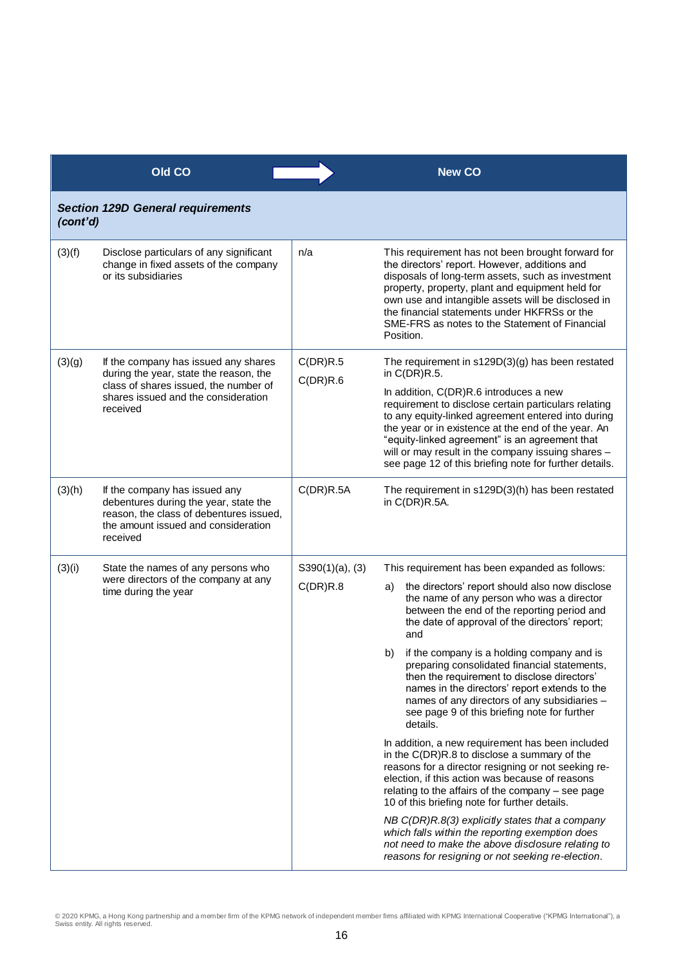|          | Old CO                                                                                                                                                                     |                      | <b>New CO</b>                                                                                                                                                                                                                                                                                                                                                                                                                                          |
|----------|----------------------------------------------------------------------------------------------------------------------------------------------------------------------------|----------------------|--------------------------------------------------------------------------------------------------------------------------------------------------------------------------------------------------------------------------------------------------------------------------------------------------------------------------------------------------------------------------------------------------------------------------------------------------------|
| (cont'd) | <b>Section 129D General requirements</b>                                                                                                                                   |                      |                                                                                                                                                                                                                                                                                                                                                                                                                                                        |
| (3)(f)   | Disclose particulars of any significant<br>change in fixed assets of the company<br>or its subsidiaries                                                                    | n/a                  | This requirement has not been brought forward for<br>the directors' report. However, additions and<br>disposals of long-term assets, such as investment<br>property, property, plant and equipment held for<br>own use and intangible assets will be disclosed in<br>the financial statements under HKFRSs or the<br>SME-FRS as notes to the Statement of Financial<br>Position.                                                                       |
| (3)(g)   | If the company has issued any shares<br>during the year, state the reason, the<br>class of shares issued, the number of<br>shares issued and the consideration<br>received | C(DR)R.5<br>C(DR)R.6 | The requirement in $s129D(3)(g)$ has been restated<br>in $C(DR)R.5$ .<br>In addition, C(DR)R.6 introduces a new<br>requirement to disclose certain particulars relating<br>to any equity-linked agreement entered into during<br>the year or in existence at the end of the year. An<br>"equity-linked agreement" is an agreement that<br>will or may result in the company issuing shares -<br>see page 12 of this briefing note for further details. |
| (3)(h)   | If the company has issued any<br>debentures during the year, state the<br>reason, the class of debentures issued,<br>the amount issued and consideration<br>received       | C(DR)R.5A            | The requirement in s129D(3)(h) has been restated<br>in C(DR)R.5A.                                                                                                                                                                                                                                                                                                                                                                                      |
| (3)(i)   | State the names of any persons who                                                                                                                                         | $S390(1)(a)$ , (3)   | This requirement has been expanded as follows:                                                                                                                                                                                                                                                                                                                                                                                                         |
|          | were directors of the company at any<br>time during the year                                                                                                               | C(DR)R.8             | the directors' report should also now disclose<br>a)<br>the name of any person who was a director<br>between the end of the reporting period and<br>the date of approval of the directors' report;<br>and                                                                                                                                                                                                                                              |
|          |                                                                                                                                                                            |                      | if the company is a holding company and is<br>b)<br>preparing consolidated financial statements,<br>then the requirement to disclose directors'<br>names in the directors' report extends to the<br>names of any directors of any subsidiaries -<br>see page 9 of this briefing note for further<br>details.                                                                                                                                           |
|          |                                                                                                                                                                            |                      | In addition, a new requirement has been included<br>in the C(DR)R.8 to disclose a summary of the<br>reasons for a director resigning or not seeking re-<br>election, if this action was because of reasons<br>relating to the affairs of the company - see page<br>10 of this briefing note for further details.                                                                                                                                       |
|          |                                                                                                                                                                            |                      | NB C(DR)R.8(3) explicitly states that a company<br>which falls within the reporting exemption does<br>not need to make the above disclosure relating to<br>reasons for resigning or not seeking re-election.                                                                                                                                                                                                                                           |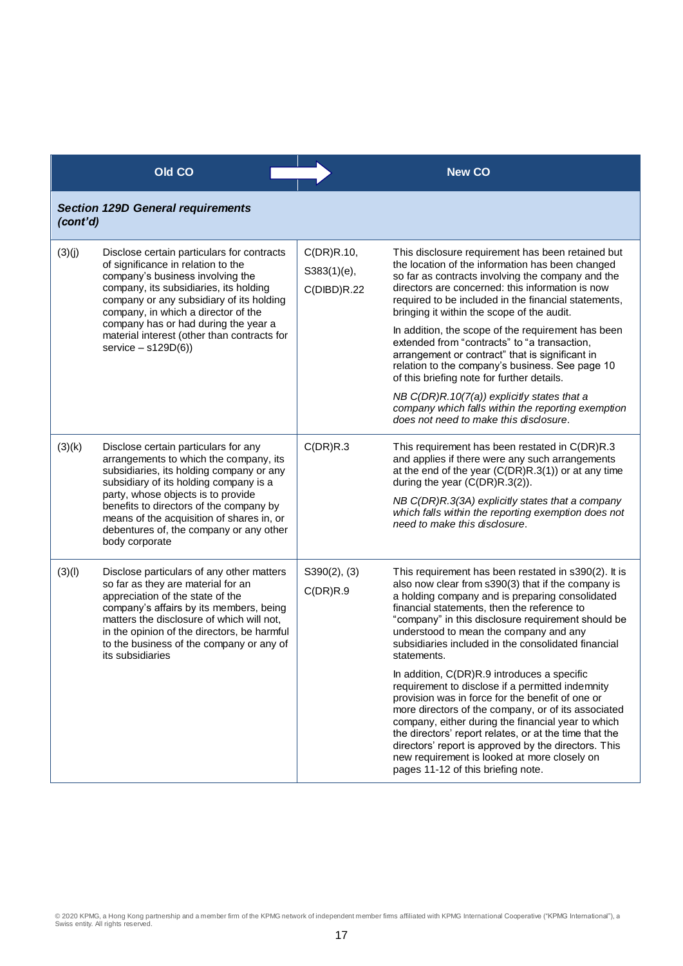|          | Old CO                                                                                                                                                                                                                                                                                                                                                            |                                          | <b>New CO</b>                                                                                                                                                                                                                                                                                                                                                                                                                                                            |
|----------|-------------------------------------------------------------------------------------------------------------------------------------------------------------------------------------------------------------------------------------------------------------------------------------------------------------------------------------------------------------------|------------------------------------------|--------------------------------------------------------------------------------------------------------------------------------------------------------------------------------------------------------------------------------------------------------------------------------------------------------------------------------------------------------------------------------------------------------------------------------------------------------------------------|
| (cont'd) | <b>Section 129D General requirements</b>                                                                                                                                                                                                                                                                                                                          |                                          |                                                                                                                                                                                                                                                                                                                                                                                                                                                                          |
| (3)(j)   | Disclose certain particulars for contracts<br>of significance in relation to the<br>company's business involving the<br>company, its subsidiaries, its holding<br>company or any subsidiary of its holding<br>company, in which a director of the<br>company has or had during the year a<br>material interest (other than contracts for<br>service $-$ s129D(6)) | C(DR)R.10,<br>S383(1)(e),<br>C(DIBD)R.22 | This disclosure requirement has been retained but<br>the location of the information has been changed<br>so far as contracts involving the company and the<br>directors are concerned: this information is now<br>required to be included in the financial statements,<br>bringing it within the scope of the audit.                                                                                                                                                     |
|          |                                                                                                                                                                                                                                                                                                                                                                   |                                          | In addition, the scope of the requirement has been<br>extended from "contracts" to "a transaction,<br>arrangement or contract" that is significant in<br>relation to the company's business. See page 10<br>of this briefing note for further details.                                                                                                                                                                                                                   |
|          |                                                                                                                                                                                                                                                                                                                                                                   |                                          | NB C(DR)R.10(7(a)) explicitly states that a<br>company which falls within the reporting exemption<br>does not need to make this disclosure.                                                                                                                                                                                                                                                                                                                              |
| (3)(k)   | Disclose certain particulars for any<br>arrangements to which the company, its<br>subsidiaries, its holding company or any<br>subsidiary of its holding company is a<br>party, whose objects is to provide<br>benefits to directors of the company by<br>means of the acquisition of shares in, or<br>debentures of, the company or any other<br>body corporate   | C(DR)R.3                                 | This requirement has been restated in C(DR)R.3<br>and applies if there were any such arrangements<br>at the end of the year $(C(DR)R.3(1))$ or at any time<br>during the year (C(DR)R.3(2)).<br>NB C(DR)R.3(3A) explicitly states that a company<br>which falls within the reporting exemption does not<br>need to make this disclosure.                                                                                                                                 |
| (3)(1)   | Disclose particulars of any other matters<br>so far as they are material for an<br>appreciation of the state of the<br>company's affairs by its members, being<br>matters the disclosure of which will not,<br>in the opinion of the directors, be harmful<br>to the business of the company or any of<br>its subsidiaries                                        | $S390(2)$ , $(3)$<br>C(DR)R.9            | This requirement has been restated in s390(2). It is<br>also now clear from s390(3) that if the company is<br>a holding company and is preparing consolidated<br>financial statements, then the reference to<br>"company" in this disclosure requirement should be<br>understood to mean the company and any<br>subsidiaries included in the consolidated financial<br>statements.                                                                                       |
|          |                                                                                                                                                                                                                                                                                                                                                                   |                                          | In addition, C(DR)R.9 introduces a specific<br>requirement to disclose if a permitted indemnity<br>provision was in force for the benefit of one or<br>more directors of the company, or of its associated<br>company, either during the financial year to which<br>the directors' report relates, or at the time that the<br>directors' report is approved by the directors. This<br>new requirement is looked at more closely on<br>pages 11-12 of this briefing note. |